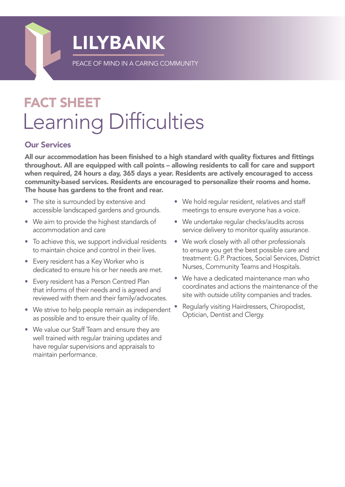

## FACT SHEET Learning Difficulties

## Our Services

All our accommodation has been finished to a high standard with quality fixtures and fittings throughout. All are equipped with call points – allowing residents to call for care and support when required, 24 hours a day, 365 days a year. Residents are actively encouraged to access community-based services. Residents are encouraged to personalize their rooms and home. The house has gardens to the front and rear.

- The site is surrounded by extensive and accessible landscaped gardens and grounds.
- We aim to provide the highest standards of accommodation and care
- To achieve this, we support individual residents to maintain choice and control in their lives.
- Every resident has a Key Worker who is dedicated to ensure his or her needs are met.
- Every resident has a Person Centred Plan that informs of their needs and is agreed and reviewed with them and their family/advocates.
- We strive to help people remain as independent as possible and to ensure their quality of life.
- We value our Staff Team and ensure they are well trained with regular training updates and have regular supervisions and appraisals to maintain performance.
- We hold regular resident, relatives and staff meetings to ensure everyone has a voice.
- We undertake regular checks/audits across service delivery to monitor quality assurance.
- We work closely with all other professionals to ensure you get the best possible care and treatment: G.P. Practices, Social Services, District Nurses, Community Teams and Hospitals.
- We have a dedicated maintenance man who coordinates and actions the maintenance of the site with outside utility companies and trades.
- Regularly visiting Hairdressers, Chiropodist, Optician, Dentist and Clergy.